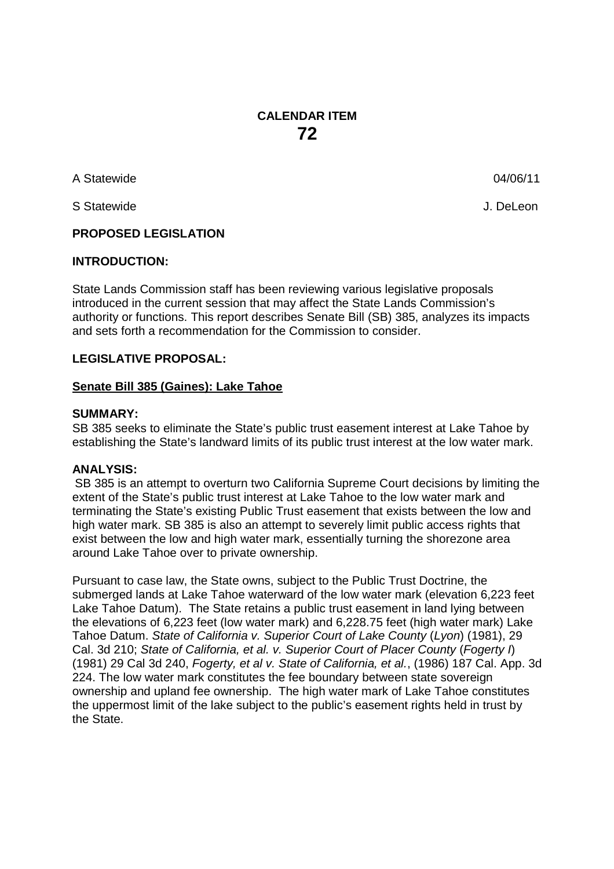### **CALENDAR ITEM 72**

A Statewide 04/06/11

S Statewide J. DeLeon

#### **PROPOSED LEGISLATION**

#### **INTRODUCTION:**

State Lands Commission staff has been reviewing various legislative proposals introduced in the current session that may affect the State Lands Commission's authority or functions. This report describes Senate Bill (SB) 385, analyzes its impacts and sets forth a recommendation for the Commission to consider.

#### **LEGISLATIVE PROPOSAL:**

#### **Senate Bill 385 (Gaines): Lake Tahoe**

#### **SUMMARY:**

SB 385 seeks to eliminate the State's public trust easement interest at Lake Tahoe by establishing the State's landward limits of its public trust interest at the low water mark.

#### **ANALYSIS:**

SB 385 is an attempt to overturn two California Supreme Court decisions by limiting the extent of the State's public trust interest at Lake Tahoe to the low water mark and terminating the State's existing Public Trust easement that exists between the low and high water mark. SB 385 is also an attempt to severely limit public access rights that exist between the low and high water mark, essentially turning the shorezone area around Lake Tahoe over to private ownership.

Pursuant to case law, the State owns, subject to the Public Trust Doctrine, the submerged lands at Lake Tahoe waterward of the low water mark (elevation 6,223 feet Lake Tahoe Datum). The State retains a public trust easement in land lying between the elevations of 6,223 feet (low water mark) and [6,228.75](https://6,228.75) feet (high water mark) Lake Tahoe Datum. *State of California v. Superior Court of Lake County* (*Lyon*) (1981), 29 Cal. 3d 210; *State of California, et al. v. Superior Court of Placer County* (*Fogerty I*) (1981) 29 Cal 3d 240, *Fogerty, et al v. State of California, et al.*, (1986) 187 Cal. App. 3d 224. The low water mark constitutes the fee boundary between state sovereign ownership and upland fee ownership. The high water mark of Lake Tahoe constitutes the uppermost limit of the lake subject to the public's easement rights held in trust by the State.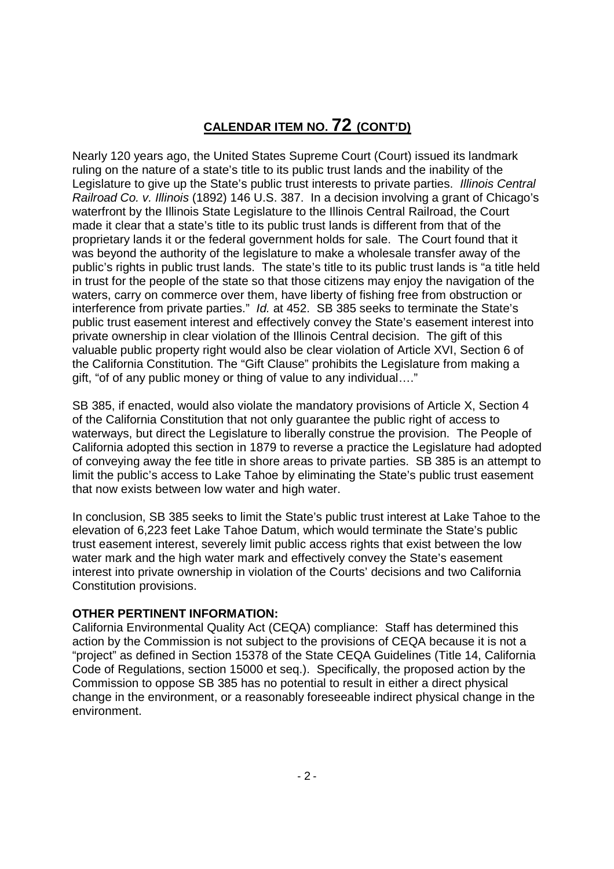## **CALENDAR ITEM NO. 72 (CONT'D)**

Nearly 120 years ago, the United States Supreme Court (Court) issued its landmark ruling on the nature of a state's title to its public trust lands and the inability of the Legislature to give up the State's public trust interests to private parties. *Illinois Central Railroad Co. v. Illinois* (1892) 146 U.S. 387. In a decision involving a grant of Chicago's waterfront by the Illinois State Legislature to the Illinois Central Railroad, the Court made it clear that a state's title to its public trust lands is different from that of the proprietary lands it or the federal government holds for sale. The Court found that it was beyond the authority of the legislature to make a wholesale transfer away of the public's rights in public trust lands. The state's title to its public trust lands is "a title held in trust for the people of the state so that those citizens may enjoy the navigation of the waters, carry on commerce over them, have liberty of fishing free from obstruction or interference from private parties." *Id.* at 452. SB 385 seeks to terminate the State's public trust easement interest and effectively convey the State's easement interest into private ownership in clear violation of the Illinois Central decision. The gift of this valuable public property right would also be clear violation of Article XVI, Section 6 of the California Constitution. The "Gift Clause" prohibits the Legislature from making a gift, "of of any public money or thing of value to any individual…."

SB 385, if enacted, would also violate the mandatory provisions of Article X, Section 4 of the California Constitution that not only guarantee the public right of access to waterways, but direct the Legislature to liberally construe the provision. The People of California adopted this section in 1879 to reverse a practice the Legislature had adopted of conveying away the fee title in shore areas to private parties. SB 385 is an attempt to limit the public's access to Lake Tahoe by eliminating the State's public trust easement that now exists between low water and high water.

In conclusion, SB 385 seeks to limit the State's public trust interest at Lake Tahoe to the elevation of 6,223 feet Lake Tahoe Datum, which would terminate the State's public trust easement interest, severely limit public access rights that exist between the low water mark and the high water mark and effectively convey the State's easement interest into private ownership in violation of the Courts' decisions and two California Constitution provisions.

#### **OTHER PERTINENT INFORMATION:**

California Environmental Quality Act (CEQA) compliance: Staff has determined this action by the Commission is not subject to the provisions of CEQA because it is not a "project" as defined in Section 15378 of the State CEQA Guidelines (Title 14, California Code of Regulations, section 15000 et seq.). Specifically, the proposed action by the Commission to oppose SB 385 has no potential to result in either a direct physical change in the environment, or a reasonably foreseeable indirect physical change in the environment.